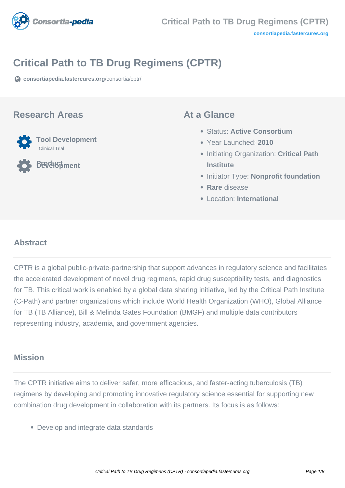

# **Critical Path to TB Drug Regimens (CPTR)**

**[consortiapedia.fastercures.org](https://consortiapedia.fastercures.org/consortia/cptr/)**[/consortia/cptr/](https://consortiapedia.fastercures.org/consortia/cptr/)

#### **Research Areas**



**Product Development**

#### **At a Glance**

- Status: **Active Consortium**
- Year Launched: **2010**
- **Initiating Organization: Critical Path Institute**
- **Initiator Type: Nonprofit foundation**
- **Rare** disease
- Location: **International**

#### **Abstract**

CPTR is a global public-private-partnership that support advances in regulatory science and facilitates the accelerated development of novel drug regimens, rapid drug susceptibility tests, and diagnostics for TB. This critical work is enabled by a global data sharing initiative, led by the Critical Path Institute (C-Path) and partner organizations which include World Health Organization (WHO), Global Alliance for TB (TB Alliance), Bill & Melinda Gates Foundation (BMGF) and multiple data contributors representing industry, academia, and government agencies.

## **Mission**

The CPTR initiative aims to deliver safer, more efficacious, and faster-acting tuberculosis (TB) regimens by developing and promoting innovative regulatory science essential for supporting new combination drug development in collaboration with its partners. Its focus is as follows:

Develop and integrate data standards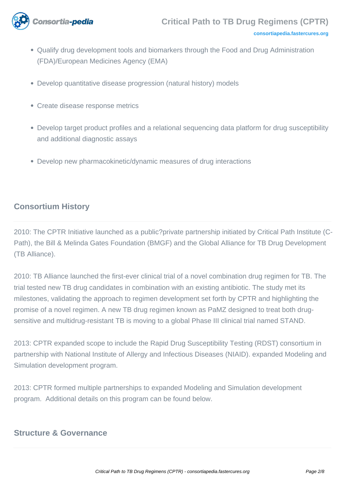

- Qualify drug development tools and biomarkers through the Food and Drug Administration (FDA)/European Medicines Agency (EMA)
- Develop quantitative disease progression (natural history) models
- Create disease response metrics
- Develop target product profiles and a relational sequencing data platform for drug susceptibility and additional diagnostic assays
- Develop new pharmacokinetic/dynamic measures of drug interactions

#### **Consortium History**

2010: The CPTR Initiative launched as a public?private partnership initiated by Critical Path Institute (C-Path), the Bill & Melinda Gates Foundation (BMGF) and the Global Alliance for TB Drug Development (TB Alliance).

2010: TB Alliance launched the first-ever clinical trial of a novel combination drug regimen for TB. The trial tested new TB drug candidates in combination with an existing antibiotic. The study met its milestones, validating the approach to regimen development set forth by CPTR and highlighting the promise of a novel regimen. A new TB drug regimen known as PaMZ designed to treat both drugsensitive and multidrug-resistant TB is moving to a global Phase III clinical trial named STAND.

2013: CPTR expanded scope to include the Rapid Drug Susceptibility Testing (RDST) consortium in partnership with National Institute of Allergy and Infectious Diseases (NIAID). expanded Modeling and Simulation development program.

2013: CPTR formed multiple partnerships to expanded Modeling and Simulation development program. Additional details on this program can be found below.

#### **Structure & Governance**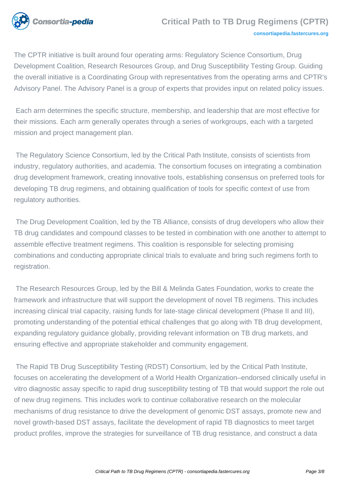

The CPTR initiative is built around four operating arms: Regulatory Science Consortium, Drug Development Coalition, Research Resources Group, and Drug Susceptibility Testing Group. Guiding the overall initiative is a Coordinating Group with representatives from the operating arms and CPTR's Advisory Panel. The Advisory Panel is a group of experts that provides input on related policy issues.

 Each arm determines the specific structure, membership, and leadership that are most effective for their missions. Each arm generally operates through a series of workgroups, each with a targeted mission and project management plan.

 The Regulatory Science Consortium, led by the Critical Path Institute, consists of scientists from industry, regulatory authorities, and academia. The consortium focuses on integrating a combination drug development framework, creating innovative tools, establishing consensus on preferred tools for developing TB drug regimens, and obtaining qualification of tools for specific context of use from regulatory authorities.

 The Drug Development Coalition, led by the TB Alliance, consists of drug developers who allow their TB drug candidates and compound classes to be tested in combination with one another to attempt to assemble effective treatment regimens. This coalition is responsible for selecting promising combinations and conducting appropriate clinical trials to evaluate and bring such regimens forth to registration.

 The Research Resources Group, led by the Bill & Melinda Gates Foundation, works to create the framework and infrastructure that will support the development of novel TB regimens. This includes increasing clinical trial capacity, raising funds for late-stage clinical development (Phase II and III), promoting understanding of the potential ethical challenges that go along with TB drug development, expanding regulatory guidance globally, providing relevant information on TB drug markets, and ensuring effective and appropriate stakeholder and community engagement.

 The Rapid TB Drug Susceptibility Testing (RDST) Consortium, led by the Critical Path Institute, focuses on accelerating the development of a World Health Organization–endorsed clinically useful in vitro diagnostic assay specific to rapid drug susceptibility testing of TB that would support the role out of new drug regimens. This includes work to continue collaborative research on the molecular mechanisms of drug resistance to drive the development of genomic DST assays, promote new and novel growth-based DST assays, facilitate the development of rapid TB diagnostics to meet target product profiles, improve the strategies for surveillance of TB drug resistance, and construct a data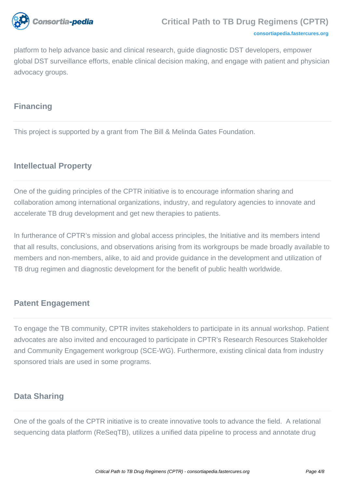

#### **[consortiapedia.fastercures.org](http://consortiapedia.fastercures.org/)**

platform to help advance basic and clinical research, guide diagnostic DST developers, empower global DST surveillance efforts, enable clinical decision making, and engage with patient and physician advocacy groups.

## **Financing**

This project is supported by a grant from The Bill & Melinda Gates Foundation.

# **Intellectual Property**

One of the guiding principles of the CPTR initiative is to encourage information sharing and collaboration among international organizations, industry, and regulatory agencies to innovate and accelerate TB drug development and get new therapies to patients.

In furtherance of CPTR's mission and global access principles, the Initiative and its members intend that all results, conclusions, and observations arising from its workgroups be made broadly available to members and non-members, alike, to aid and provide guidance in the development and utilization of TB drug regimen and diagnostic development for the benefit of public health worldwide.

## **Patent Engagement**

To engage the TB community, CPTR invites stakeholders to participate in its annual workshop. Patient advocates are also invited and encouraged to participate in CPTR's Research Resources Stakeholder and Community Engagement workgroup (SCE-WG). Furthermore, existing clinical data from industry sponsored trials are used in some programs.

## **Data Sharing**

One of the goals of the CPTR initiative is to create innovative tools to advance the field. A relational sequencing data platform (ReSeqTB), utilizes a unified data pipeline to process and annotate drug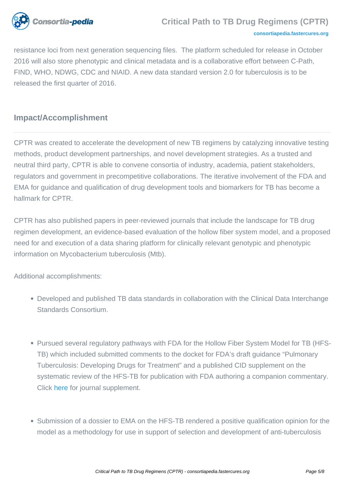

resistance loci from next generation sequencing files. The platform scheduled for release in October 2016 will also store phenotypic and clinical metadata and is a collaborative effort between C-Path, FIND, WHO, NDWG, CDC and NIAID. A new data standard version 2.0 for tuberculosis is to be released the first quarter of 2016.

# **Impact/Accomplishment**

CPTR was created to accelerate the development of new TB regimens by catalyzing innovative testing methods, product development partnerships, and novel development strategies. As a trusted and neutral third party, CPTR is able to convene consortia of industry, academia, patient stakeholders, regulators and government in precompetitive collaborations. The iterative involvement of the FDA and EMA for guidance and qualification of drug development tools and biomarkers for TB has become a hallmark for CPTR.

CPTR has also published papers in peer-reviewed journals that include the landscape for TB drug regimen development, an evidence-based evaluation of the hollow fiber system model, and a proposed need for and execution of a data sharing platform for clinically relevant genotypic and phenotypic information on Mycobacterium tuberculosis (Mtb).

Additional accomplishments:

- Developed and published TB data standards in collaboration with the Clinical Data Interchange Standards Consortium.
- Pursued several regulatory pathways with FDA for the Hollow Fiber System Model for TB (HFS-TB) which included submitted comments to the docket for FDA's draft guidance "Pulmonary Tuberculosis: Developing Drugs for Treatment" and a published CID supplement on the systematic review of the HFS-TB for publication with FDA authoring a companion commentary. Click [here](http://cid.oxfordjournals.org/content/61/suppl_1.toc) for journal supplement.
- Submission of a dossier to EMA on the HFS-TB rendered a positive qualification opinion for the model as a methodology for use in support of selection and development of anti-tuberculosis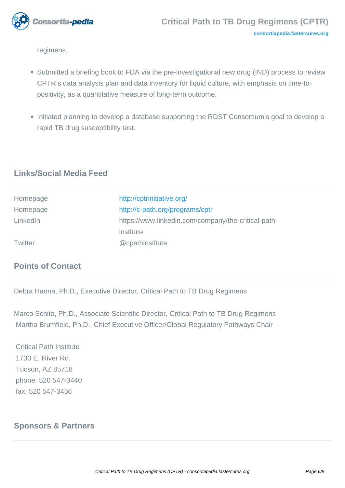

regimens.

- Submitted a briefing book to FDA via the pre-investigational new drug (IND) process to review CPTR's data analysis plan and data inventory for liquid culture, with emphasis on time-topositivity, as a quantitative measure of long-term outcome.
- Initiated planning to develop a database supporting the RDST Consortium's goal to develop a rapid TB drug susceptibility test.

# **Links/Social Media Feed**

| Homepage       | http://cptrinitiative.org/                          |
|----------------|-----------------------------------------------------|
| Homepage       | http://c-path.org/programs/cptr                     |
| LinkedIn       | https://www.linkedin.com/company/the-critical-path- |
|                | institute                                           |
| <b>Twitter</b> | @cpathinstitute                                     |

## **Points of Contact**

Debra Hanna, Ph.D., Executive Director, Critical Path to TB Drug Regimens

Marco Schito, Ph.D., Associate Scientific Director, Critical Path to TB Drug Regimens Martha Brumfield, Ph.D., Chief Executive Officer/Global Regulatory Pathways Chair

 Critical Path Institute 1730 E. River Rd. Tucson, AZ 85718 phone: 520 547-3440 fax: 520 547-3456

# **Sponsors & Partners**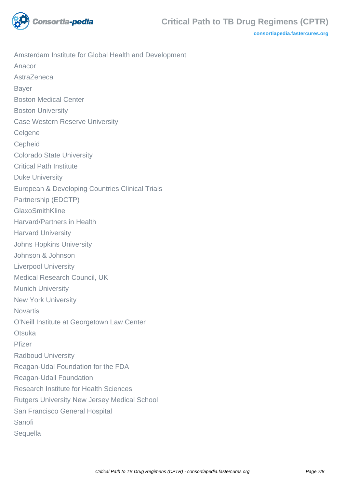

**[consortiapedia.fastercures.org](http://consortiapedia.fastercures.org/)**

Amsterdam Institute for Global Health and Development Anacor AstraZeneca Bayer Boston Medical Center Boston University Case Western Reserve University **Celgene Cepheid** Colorado State University Critical Path Institute Duke University European & Developing Countries Clinical Trials Partnership (EDCTP) GlaxoSmithKline Harvard/Partners in Health Harvard University Johns Hopkins University Johnson & Johnson Liverpool University Medical Research Council, UK Munich University New York University **Novartis** O'Neill Institute at Georgetown Law Center **Otsuka** Pfizer Radboud University Reagan-Udal Foundation for the FDA Reagan-Udall Foundation Research Institute for Health Sciences Rutgers University New Jersey Medical School San Francisco General Hospital Sanofi **Sequella**